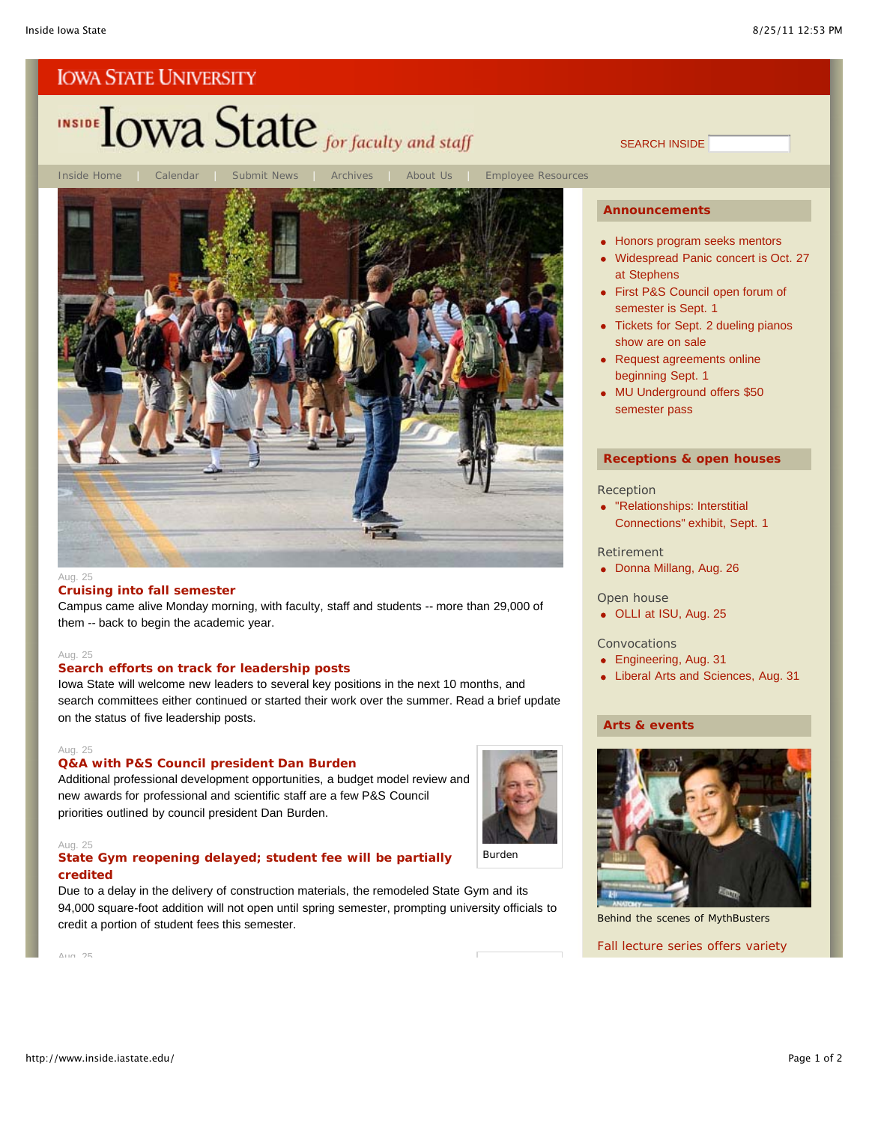# INSIDE TOWA State for faculty and staff



#### Aug. 25

#### **Cruising into fall semester**

Campus came alive Monday morning, with faculty, staff and students -- more than 29,000 of them -- back to begin the academic year.

#### Aug. 25

#### **Search efforts on track for leadership posts**

Iowa State will welcome new leaders to several key positions in the next 10 months, and search committees either continued or started their work over the summer. Read a brief update on the status of five leadership posts.

#### Aug. 25

#### **Q&A with P&S Council president Dan Burden**

Additional professional development opportunities, a budget model review and new awards for professional and scientific staff are a few P&S Council priorities outlined by council president Dan Burden.

#### Aug. 25

#### **State Gym reopening delayed; student fee will be partially credited**

Due to a delay in the delivery of construction materials, the remodeled State Gym and its 94,000 square-foot addition will not open until spring semester, prompting university officials to credit a portion of student fees this semester.



#### **Announcements**

SEARCH INSIDE

- Honors program seeks mentors
- Widespread Panic concert is Oct. 27 at Stephens
- First P&S Council open forum of semester is Sept. 1
- Tickets for Sept. 2 dueling pianos show are on sale
- Request agreements online beginning Sept. 1
- MU Underground offers \$50 semester pass

#### **Receptions & open houses**

#### Reception

"Relationships: Interstitial Connections" exhibit, Sept. 1

#### Retirement

Donna Millang, Aug. 26

#### Open house

OLLI at ISU, Aug. 25

#### Convocations

- Engineering, Aug. 31
- Liberal Arts and Sciences, Aug. 31

#### **Arts & events**

Burden



Behind the scenes of *MythBusters*

Fall lecture series offers variety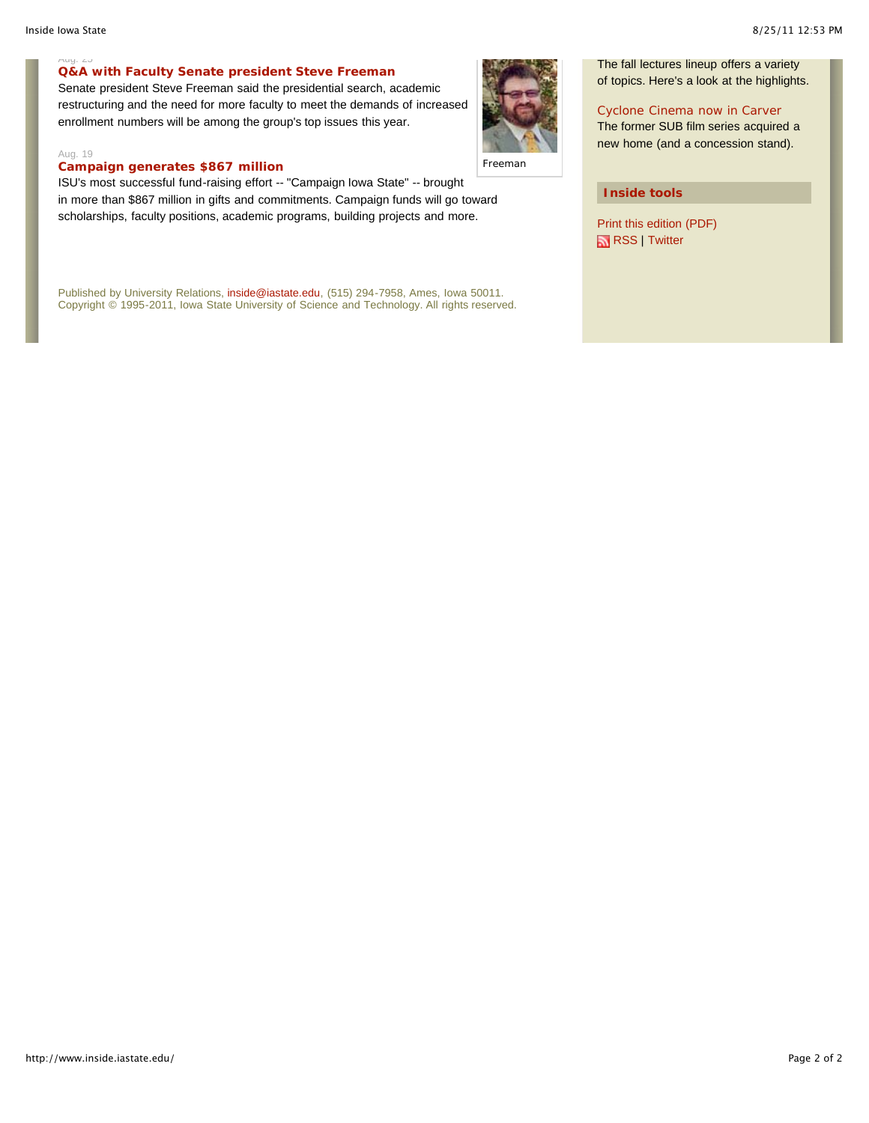$uu, zJ$ 

#### **Q&A with Faculty Senate president Steve Freeman**

Senate president Steve Freeman said the presidential search, academic restructuring and the need for more faculty to meet the demands of increased enrollment numbers will be among the group's top issues this year.

#### Aug. 19

#### **Campaign generates \$867 million**

ISU's most successful fund-raising effort -- "Campaign Iowa State" -- brought in more than \$867 million in gifts and commitments. Campaign funds will go toward scholarships, faculty positions, academic programs, building projects and more.

Published by University Relations, inside@iastate.edu, (515) 294-7958, Ames, Iowa 50011. Copyright © 1995-2011, Iowa State University of Science and Technology. All rights reserved.



Freeman

#### **Inside tools**

Print this edition (PDF) RSS | Twitter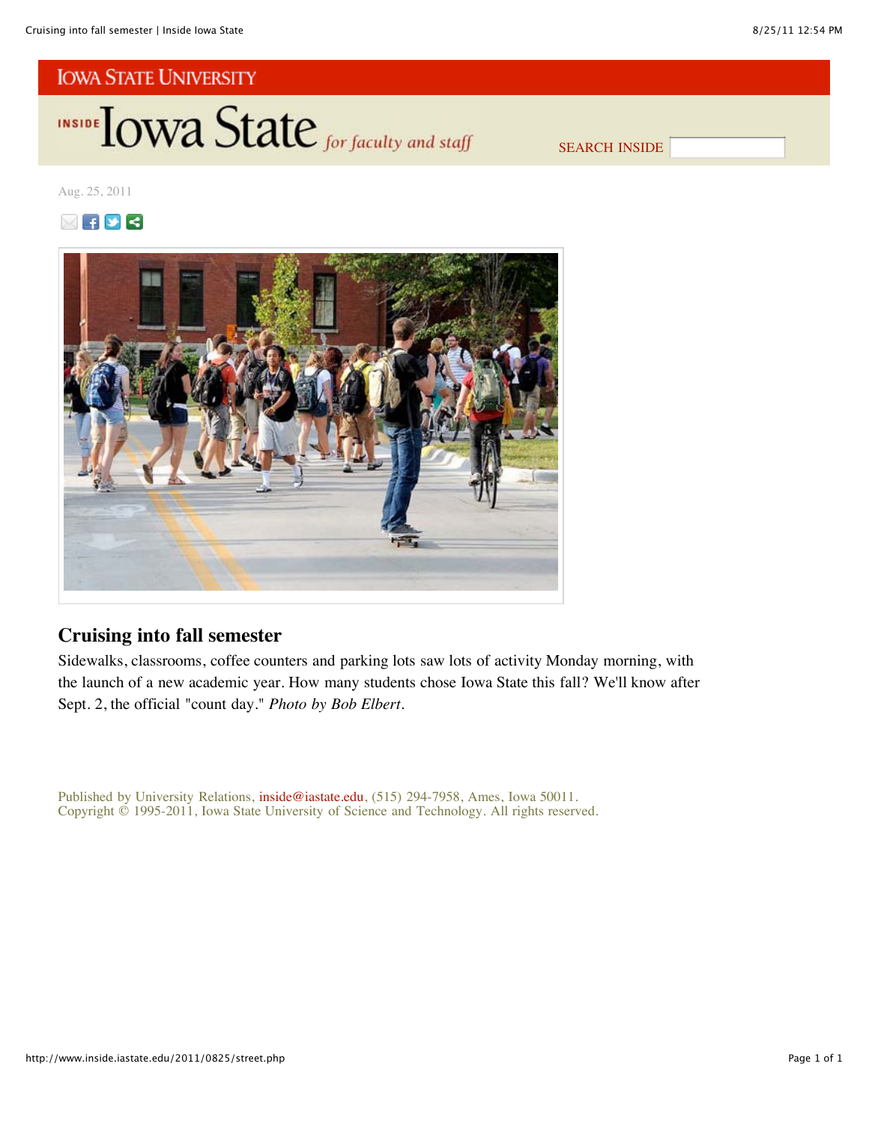INSIDE LOWA State for faculty and staff

SEARCH INSIDE

Aug. 25, 2011





# **Cruising into fall semester**

Sidewalks, classrooms, coffee counters and parking lots saw lots of activity Monday morning, with the launch of a new academic year. How many students chose Iowa State this fall? We'll know after Sept. 2, the official "count day." *Photo by Bob Elbert*.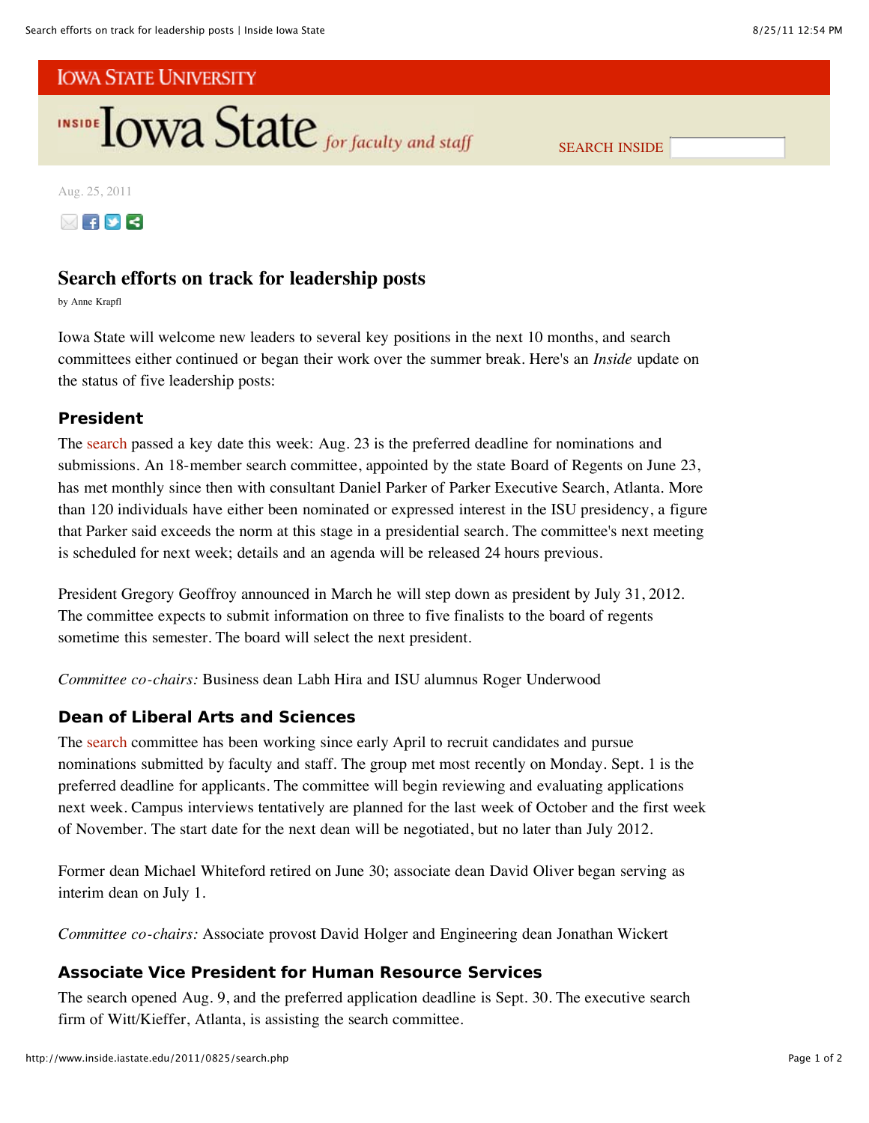

SEARCH INSIDE

Aug. 25, 2011



# **Search efforts on track for leadership posts**

by Anne Krapfl

Iowa State will welcome new leaders to several key positions in the next 10 months, and search committees either continued or began their work over the summer break. Here's an *Inside* update on the status of five leadership posts:

## **President**

The search passed a key date this week: Aug. 23 is the preferred deadline for nominations and submissions. An 18-member search committee, appointed by the state Board of Regents on June 23, has met monthly since then with consultant Daniel Parker of Parker Executive Search, Atlanta. More than 120 individuals have either been nominated or expressed interest in the ISU presidency, a figure that Parker said exceeds the norm at this stage in a presidential search. The committee's next meeting is scheduled for next week; details and an agenda will be released 24 hours previous.

President Gregory Geoffroy announced in March he will step down as president by July 31, 2012. The committee expects to submit information on three to five finalists to the board of regents sometime this semester. The board will select the next president.

*Committee co-chairs:* Business dean Labh Hira and ISU alumnus Roger Underwood

# **Dean of Liberal Arts and Sciences**

The search committee has been working since early April to recruit candidates and pursue nominations submitted by faculty and staff. The group met most recently on Monday. Sept. 1 is the preferred deadline for applicants. The committee will begin reviewing and evaluating applications next week. Campus interviews tentatively are planned for the last week of October and the first week of November. The start date for the next dean will be negotiated, but no later than July 2012.

Former dean Michael Whiteford retired on June 30; associate dean David Oliver began serving as interim dean on July 1.

*Committee co-chairs:* Associate provost David Holger and Engineering dean Jonathan Wickert

# **Associate Vice President for Human Resource Services**

The search opened Aug. 9, and the preferred application deadline is Sept. 30. The executive search firm of Witt/Kieffer, Atlanta, is assisting the search committee.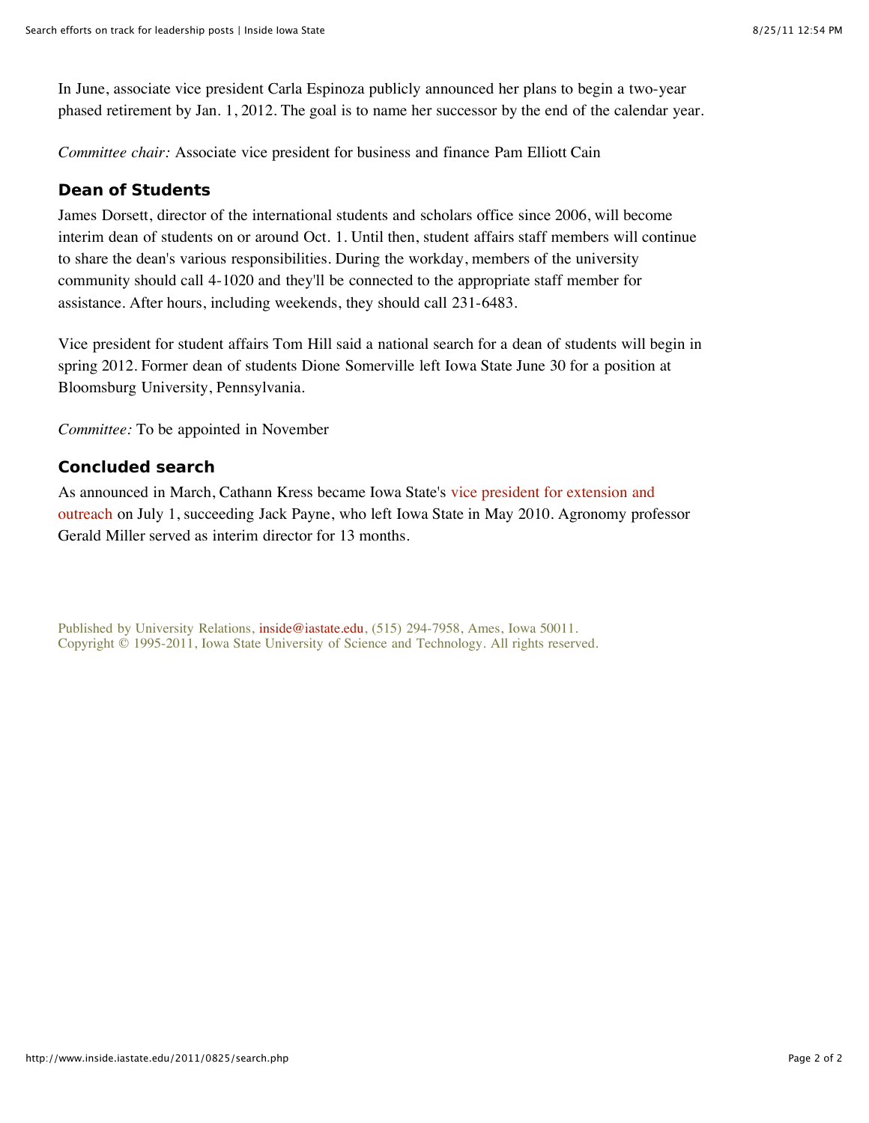In June, associate vice president Carla Espinoza publicly announced her plans to begin a two-year phased retirement by Jan. 1, 2012. The goal is to name her successor by the end of the calendar year.

*Committee chair:* Associate vice president for business and finance Pam Elliott Cain

# **Dean of Students**

James Dorsett, director of the international students and scholars office since 2006, will become interim dean of students on or around Oct. 1. Until then, student affairs staff members will continue to share the dean's various responsibilities. During the workday, members of the university community should call 4-1020 and they'll be connected to the appropriate staff member for assistance. After hours, including weekends, they should call 231-6483.

Vice president for student affairs Tom Hill said a national search for a dean of students will begin in spring 2012. Former dean of students Dione Somerville left Iowa State June 30 for a position at Bloomsburg University, Pennsylvania.

*Committee:* To be appointed in November

# **Concluded search**

As announced in March, Cathann Kress became Iowa State's vice president for extension and outreach on July 1, succeeding Jack Payne, who left Iowa State in May 2010. Agronomy professor Gerald Miller served as interim director for 13 months.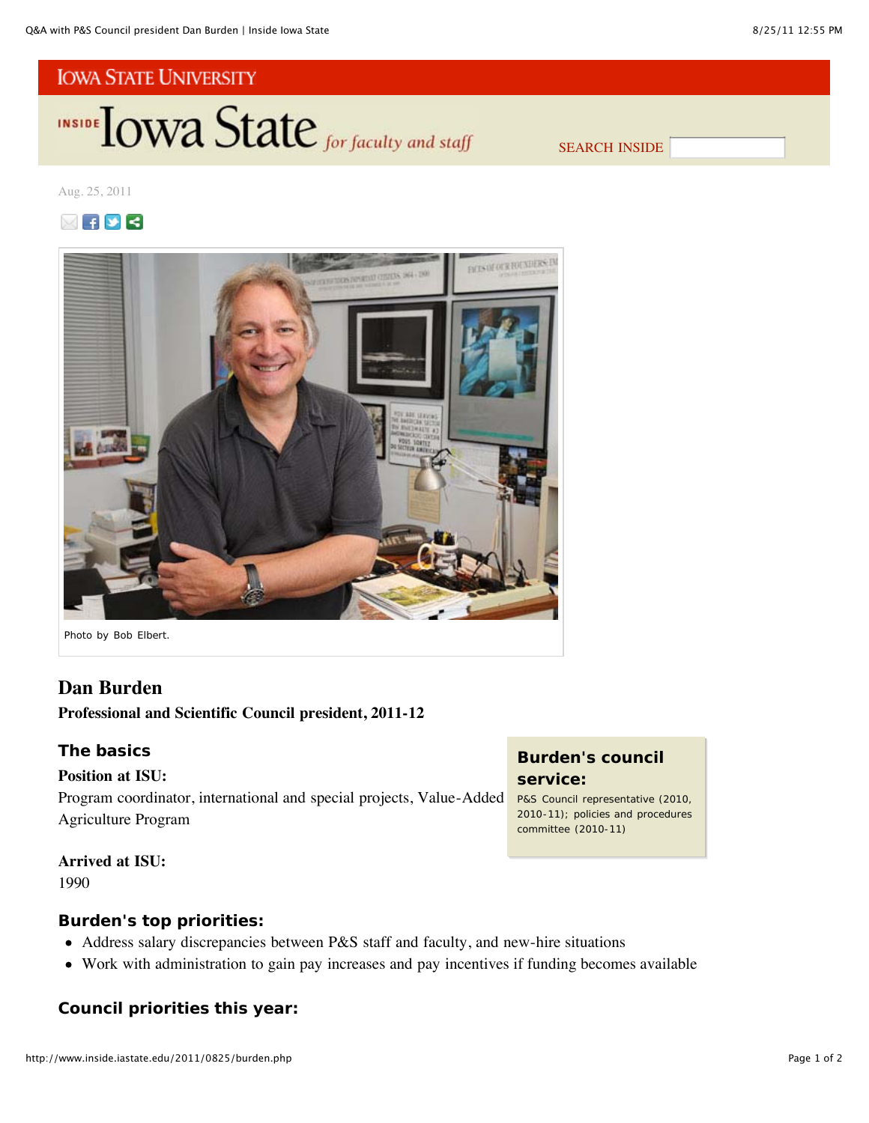INSIDE **LOWA State** for faculty and staff

SEARCH INSIDE

## Aug. 25, 2011





*Photo by Bob Elbert.*

# **Dan Burden**

# **Professional and Scientific Council president, 2011-12**

## **The basics**

## **Position at ISU:**

Program coordinator, international and special projects, Value-Added Agriculture Program

## **Arrived at ISU:**

1990

# **Burden's top priorities:**

- Address salary discrepancies between P&S staff and faculty, and new-hire situations
- Work with administration to gain pay increases and pay incentives if funding becomes available

**Council priorities this year:**

# **Burden's council service:**

P&S Council representative (2010, 2010-11); policies and procedures committee (2010-11)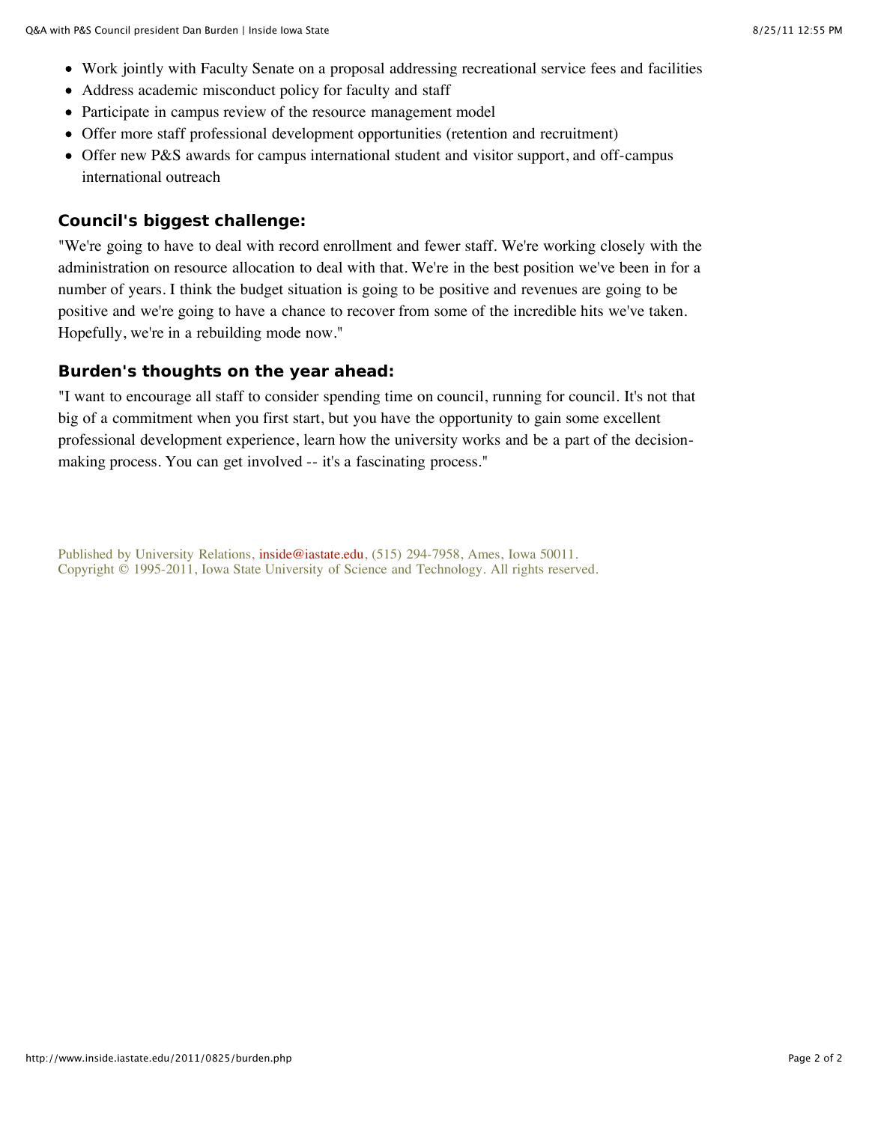- Work jointly with Faculty Senate on a proposal addressing recreational service fees and facilities
- Address academic misconduct policy for faculty and staff
- Participate in campus review of the resource management model
- Offer more staff professional development opportunities (retention and recruitment)
- Offer new P&S awards for campus international student and visitor support, and off-campus international outreach

# **Council's biggest challenge:**

"We're going to have to deal with record enrollment and fewer staff. We're working closely with the administration on resource allocation to deal with that. We're in the best position we've been in for a number of years. I think the budget situation is going to be positive and revenues are going to be positive and we're going to have a chance to recover from some of the incredible hits we've taken. Hopefully, we're in a rebuilding mode now."

# **Burden's thoughts on the year ahead:**

"I want to encourage all staff to consider spending time on council, running for council. It's not that big of a commitment when you first start, but you have the opportunity to gain some excellent professional development experience, learn how the university works and be a part of the decisionmaking process. You can get involved -- it's a fascinating process."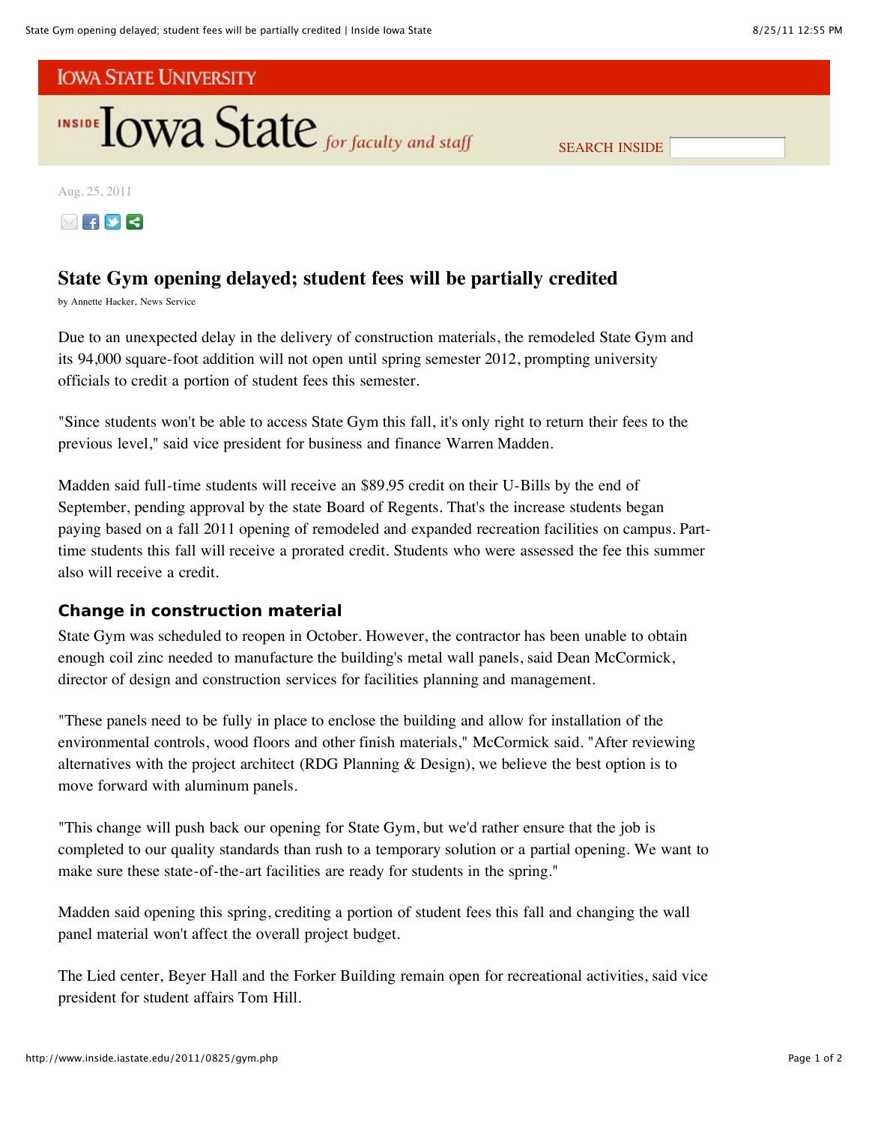



SEARCH INSIDE

Aug. 25, 2011



# **State Gym opening delayed; student fees will be partially credited**

by Annette Hacker, News Service

Due to an unexpected delay in the delivery of construction materials, the remodeled State Gym and its 94,000 square-foot addition will not open until spring semester 2012, prompting university officials to credit a portion of student fees this semester.

"Since students won't be able to access State Gym this fall, it's only right to return their fees to the previous level," said vice president for business and finance Warren Madden.

Madden said full-time students will receive an \$89.95 credit on their U-Bills by the end of September, pending approval by the state Board of Regents. That's the increase students began paying based on a fall 2011 opening of remodeled and expanded recreation facilities on campus. Parttime students this fall will receive a prorated credit. Students who were assessed the fee this summer also will receive a credit.

# **Change in construction material**

State Gym was scheduled to reopen in October. However, the contractor has been unable to obtain enough coil zinc needed to manufacture the building's metal wall panels, said Dean McCormick, director of design and construction services for facilities planning and management.

"These panels need to be fully in place to enclose the building and allow for installation of the environmental controls, wood floors and other finish materials," McCormick said. "After reviewing alternatives with the project architect (RDG Planning & Design), we believe the best option is to move forward with aluminum panels.

"This change will push back our opening for State Gym, but we'd rather ensure that the job is completed to our quality standards than rush to a temporary solution or a partial opening. We want to make sure these state-of-the-art facilities are ready for students in the spring."

Madden said opening this spring, crediting a portion of student fees this fall and changing the wall panel material won't affect the overall project budget.

The Lied center, Beyer Hall and the Forker Building remain open for recreational activities, said vice president for student affairs Tom Hill.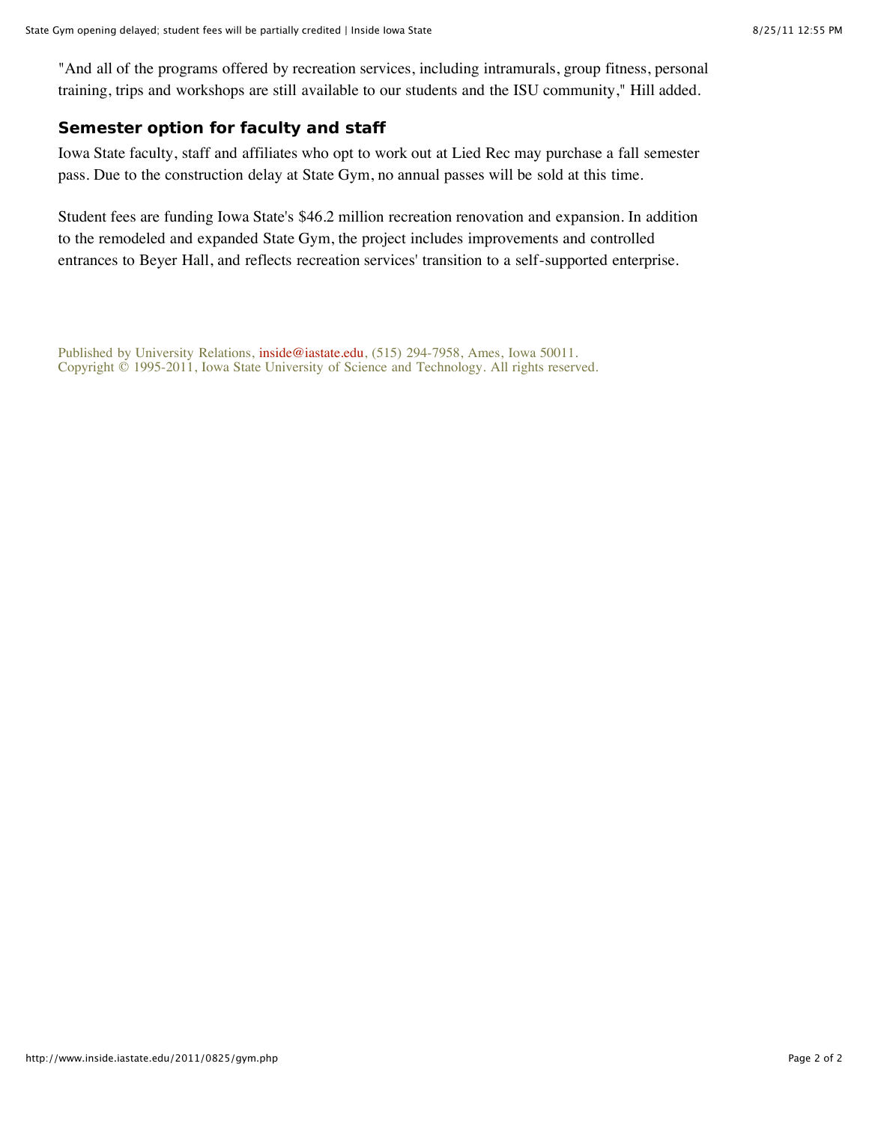"And all of the programs offered by recreation services, including intramurals, group fitness, personal training, trips and workshops are still available to our students and the ISU community," Hill added.

# **Semester option for faculty and staff**

Iowa State faculty, staff and affiliates who opt to work out at Lied Rec may purchase a fall semester pass. Due to the construction delay at State Gym, no annual passes will be sold at this time.

Student fees are funding Iowa State's \$46.2 million recreation renovation and expansion. In addition to the remodeled and expanded State Gym, the project includes improvements and controlled entrances to Beyer Hall, and reflects recreation services' transition to a self-supported enterprise.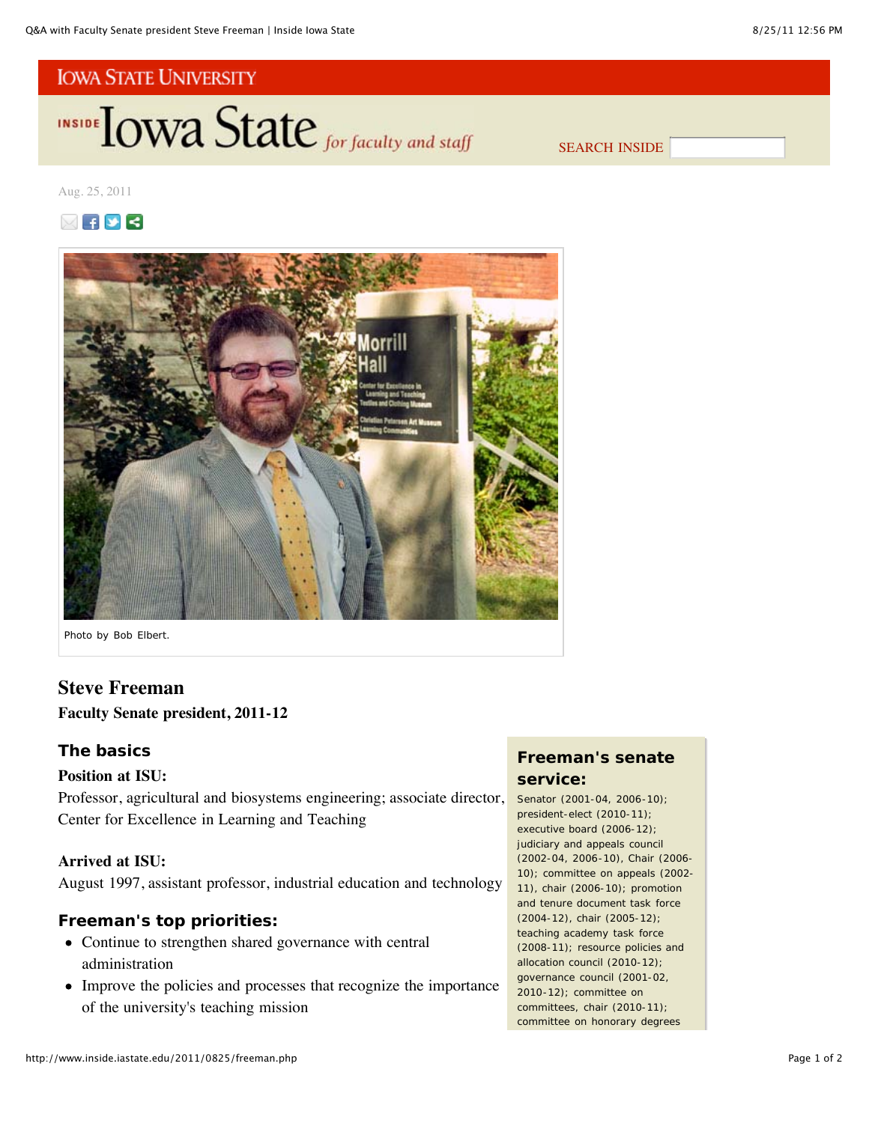INSIDE **LOWA State** for faculty and staff

SEARCH INSIDE

Aug. 25, 2011





*Photo by Bob Elbert.*

# **Steve Freeman**

## **Faculty Senate president, 2011-12**

## **The basics**

#### **Position at ISU:**

Professor, agricultural and biosystems engineering; associate director, Center for Excellence in Learning and Teaching

## **Arrived at ISU:**

August 1997, assistant professor, industrial education and technology

# **Freeman's top priorities:**

- Continue to strengthen shared governance with central administration
- Improve the policies and processes that recognize the importance of the university's teaching mission

# **Freeman's senate service:**

Senator (2001-04, 2006-10); president-elect (2010-11); executive board (2006-12); judiciary and appeals council (2002-04, 2006-10), Chair (2006- 10); committee on appeals (2002- 11), chair (2006-10); promotion and tenure document task force (2004-12), chair (2005-12); teaching academy task force (2008-11); resource policies and allocation council (2010-12); governance council (2001-02, 2010-12); committee on committees, chair (2010-11); committee on honorary degrees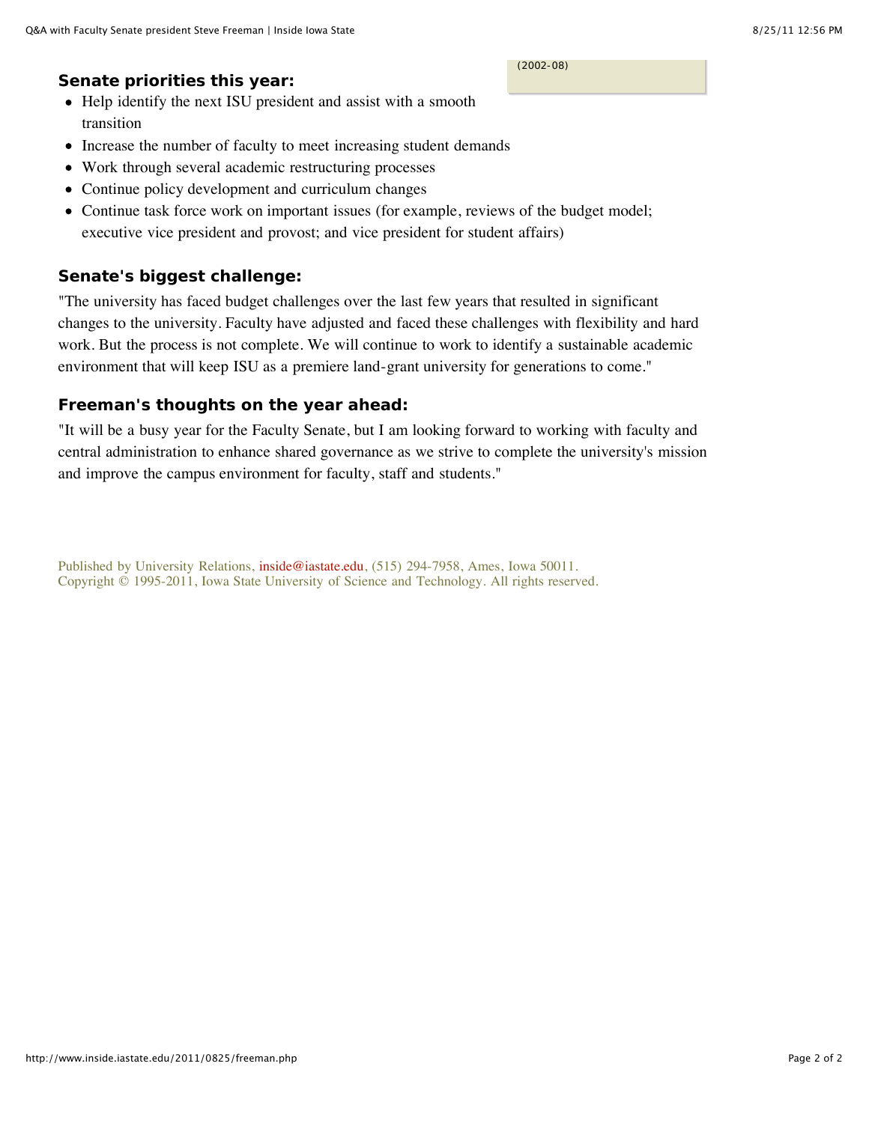#### (2002-08)

## **Senate priorities this year:**

- Help identify the next ISU president and assist with a smooth transition
- Increase the number of faculty to meet increasing student demands
- Work through several academic restructuring processes  $\bullet$
- Continue policy development and curriculum changes
- Continue task force work on important issues (for example, reviews of the budget model; executive vice president and provost; and vice president for student affairs)

# **Senate's biggest challenge:**

"The university has faced budget challenges over the last few years that resulted in significant changes to the university. Faculty have adjusted and faced these challenges with flexibility and hard work. But the process is not complete. We will continue to work to identify a sustainable academic environment that will keep ISU as a premiere land-grant university for generations to come."

# **Freeman's thoughts on the year ahead:**

"It will be a busy year for the Faculty Senate, but I am looking forward to working with faculty and central administration to enhance shared governance as we strive to complete the university's mission and improve the campus environment for faculty, staff and students."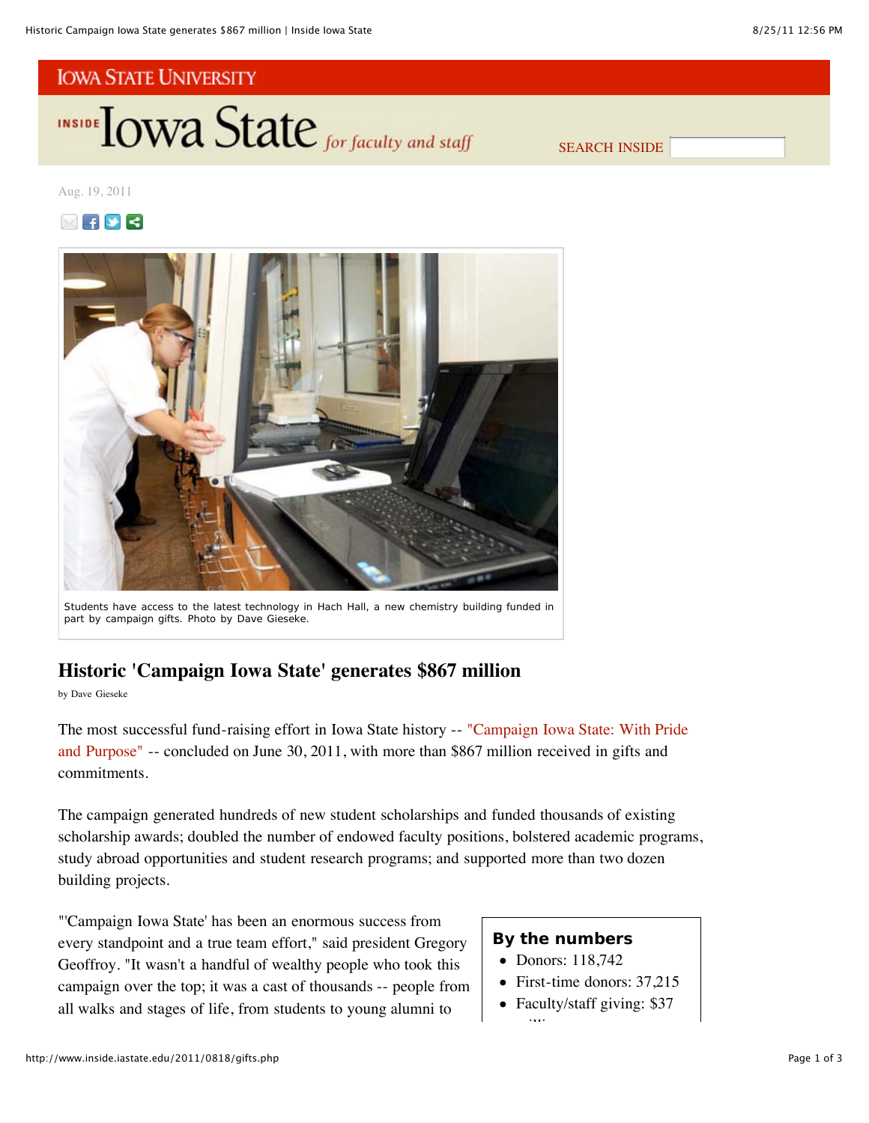**INSIDE TOWA State** for faculty and staff

SEARCH INSIDE

Aug. 19, 2011





Students have access to the latest technology in Hach Hall, a new chemistry building funded in part by campaign gifts. *Photo by Dave Gieseke.*

# **Historic 'Campaign Iowa State' generates \$867 million**

by Dave Gieseke

The most successful fund-raising effort in Iowa State history -- "Campaign Iowa State: With Pride and Purpose" -- concluded on June 30, 2011, with more than \$867 million received in gifts and commitments.

The campaign generated hundreds of new student scholarships and funded thousands of existing scholarship awards; doubled the number of endowed faculty positions, bolstered academic programs, study abroad opportunities and student research programs; and supported more than two dozen building projects.

"'Campaign Iowa State' has been an enormous success from every standpoint and a true team effort," said president Gregory Geoffroy. "It wasn't a handful of wealthy people who took this campaign over the top; it was a cast of thousands -- people from all walks and stages of life, from students to young alumni to

# **By the numbers**

- Donors: 118,742
- First-time donors: 37,215
- Faculty/staff giving: \$37 illi<br>İ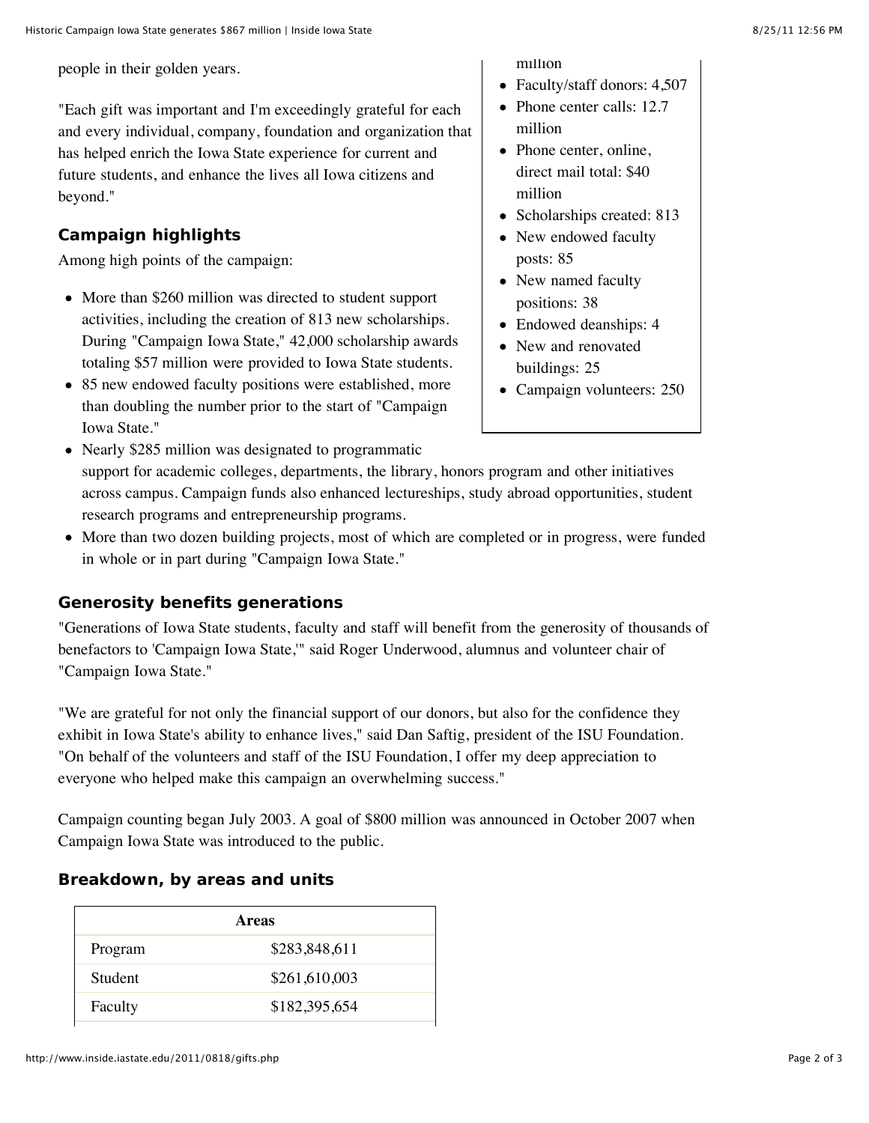people in their golden years.

"Each gift was important and I'm exceedingly grateful for each and every individual, company, foundation and organization that has helped enrich the Iowa State experience for current and future students, and enhance the lives all Iowa citizens and beyond."

# **Campaign highlights**

Among high points of the campaign:

- More than \$260 million was directed to student support activities, including the creation of 813 new scholarships. During "Campaign Iowa State," 42,000 scholarship awards totaling \$57 million were provided to Iowa State students.
- 85 new endowed faculty positions were established, more than doubling the number prior to the start of "Campaign Iowa State."

million

- Faculty/staff donors: 4,507
- Phone center calls: 12.7 million
- Phone center, online, direct mail total: \$40 million
- Scholarships created: 813
- New endowed faculty posts: 85
- New named faculty positions: 38
- Endowed deanships: 4
- New and renovated buildings: 25
- Campaign volunteers: 250

• Nearly \$285 million was designated to programmatic support for academic colleges, departments, the library, honors program and other initiatives across campus. Campaign funds also enhanced lectureships, study abroad opportunities, student research programs and entrepreneurship programs.

More than two dozen building projects, most of which are completed or in progress, were funded in whole or in part during "Campaign Iowa State."

# **Generosity benefits generations**

"Generations of Iowa State students, faculty and staff will benefit from the generosity of thousands of benefactors to 'Campaign Iowa State,'" said Roger Underwood, alumnus and volunteer chair of "Campaign Iowa State."

"We are grateful for not only the financial support of our donors, but also for the confidence they exhibit in Iowa State's ability to enhance lives," said Dan Saftig, president of the ISU Foundation. "On behalf of the volunteers and staff of the ISU Foundation, I offer my deep appreciation to everyone who helped make this campaign an overwhelming success."

Campaign counting began July 2003. A goal of \$800 million was announced in October 2007 when Campaign Iowa State was introduced to the public.

# **Breakdown, by areas and units**

| Areas   |               |  |
|---------|---------------|--|
| Program | \$283,848,611 |  |
| Student | \$261,610,003 |  |
| Faculty | \$182,395,654 |  |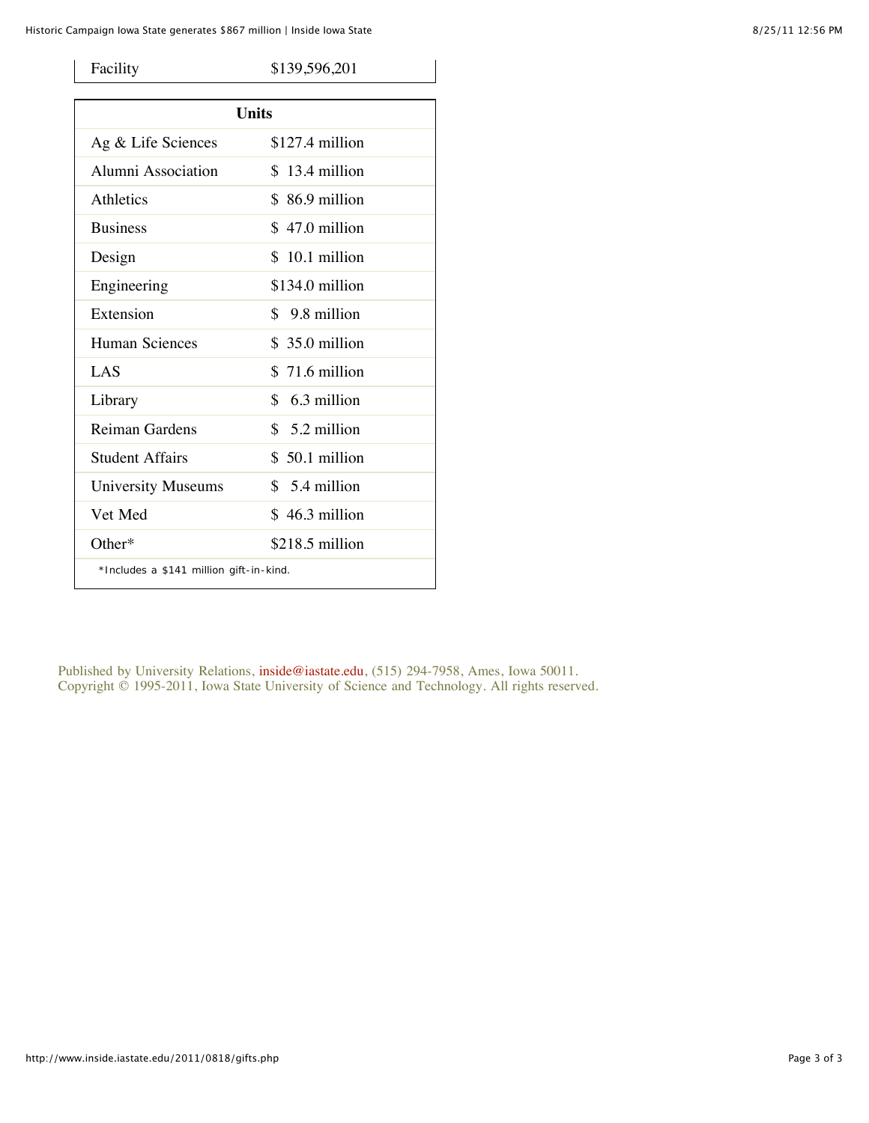| Facility                                | \$139,596,201    |  |
|-----------------------------------------|------------------|--|
| <b>Units</b>                            |                  |  |
|                                         |                  |  |
| Ag & Life Sciences                      | $$127.4$ million |  |
| Alumni Association                      | $$13.4$ million  |  |
| Athletics                               | $$86.9$ million  |  |
| <b>Business</b>                         | $$47.0$ million  |  |
| Design                                  | $$10.1$ million  |  |
| Engineering                             | $$134.0$ million |  |
| Extension                               | $$9.8$ million   |  |
| <b>Human Sciences</b>                   | $$35.0$ million  |  |
| LAS                                     | $$71.6$ million  |  |
| Library                                 | $$6.3$ million   |  |
| Reiman Gardens                          | $$5.2$ million   |  |
| Student Affairs                         | $$50.1$ million  |  |
| <b>University Museums</b>               | $$5.4$ million   |  |
| Vet Med                                 | $$46.3$ million  |  |
| $Other*$                                | $$218.5$ million |  |
| *Includes a \$141 million gift-in-kind. |                  |  |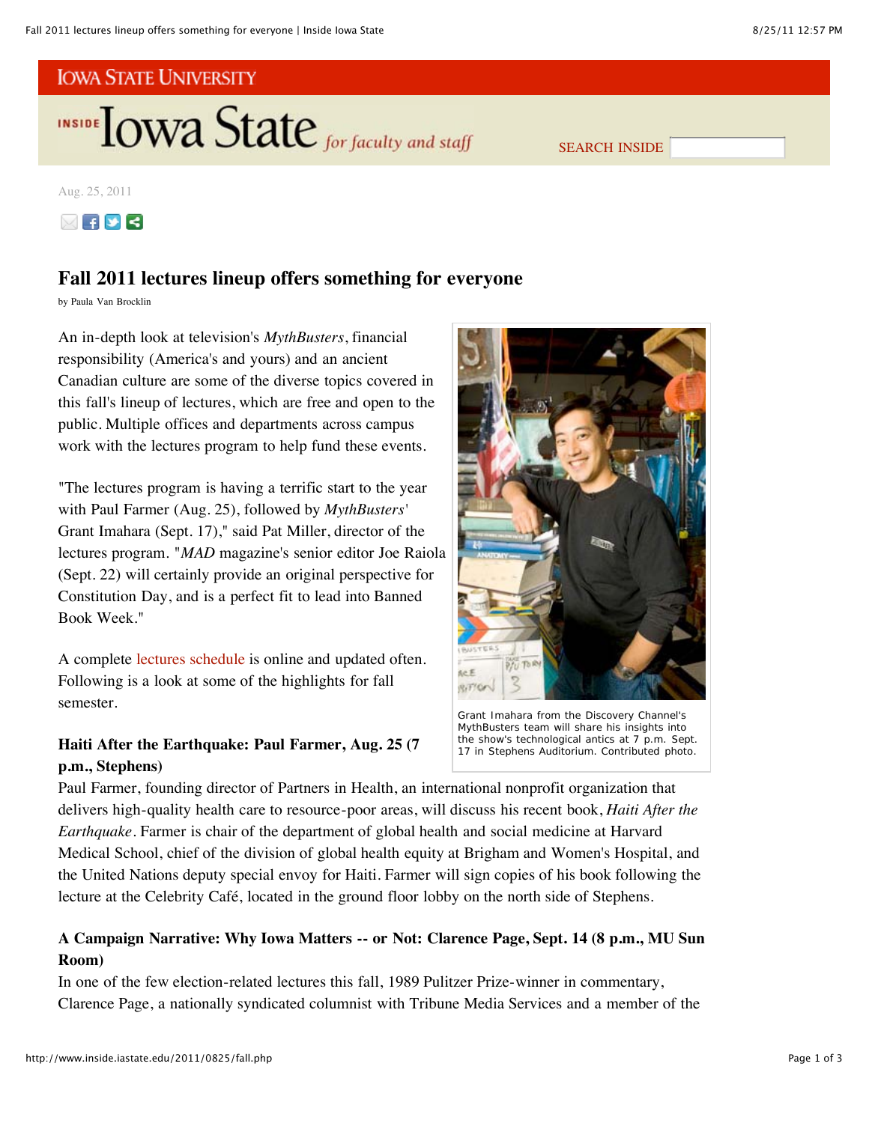

SEARCH INSIDE

Aug. 25, 2011



# **Fall 2011 lectures lineup offers something for everyone**

by Paula Van Brocklin

An in-depth look at television's *MythBusters*, financial responsibility (America's and yours) and an ancient Canadian culture are some of the diverse topics covered in this fall's lineup of lectures, which are free and open to the public. Multiple offices and departments across campus work with the lectures program to help fund these events.

"The lectures program is having a terrific start to the year with Paul Farmer (Aug. 25), followed by *MythBusters'* Grant Imahara (Sept. 17)," said Pat Miller, director of the lectures program. "*MAD* magazine's senior editor Joe Raiola (Sept. 22) will certainly provide an original perspective for Constitution Day, and is a perfect fit to lead into Banned Book Week."

A complete lectures schedule is online and updated often. Following is a look at some of the highlights for fall semester.

# **Haiti After the Earthquake: Paul Farmer, Aug. 25 (7 p.m., Stephens)**



Grant Imahara from the Discovery Channel's *MythBusters* team will share his insights into the show's technological antics at 7 p.m. Sept. 17 in Stephens Auditorium. *Contributed photo*.

Paul Farmer, founding director of Partners in Health, an international nonprofit organization that delivers high-quality health care to resource-poor areas, will discuss his recent book, *Haiti After the Earthquake*. Farmer is chair of the department of global health and social medicine at Harvard Medical School, chief of the division of global health equity at Brigham and Women's Hospital, and the United Nations deputy special envoy for Haiti. Farmer will sign copies of his book following the lecture at the Celebrity Café, located in the ground floor lobby on the north side of Stephens.

# **A Campaign Narrative: Why Iowa Matters -- or Not: Clarence Page, Sept. 14 (8 p.m., MU Sun Room)**

In one of the few election-related lectures this fall, 1989 Pulitzer Prize-winner in commentary, Clarence Page, a nationally syndicated columnist with Tribune Media Services and a member of the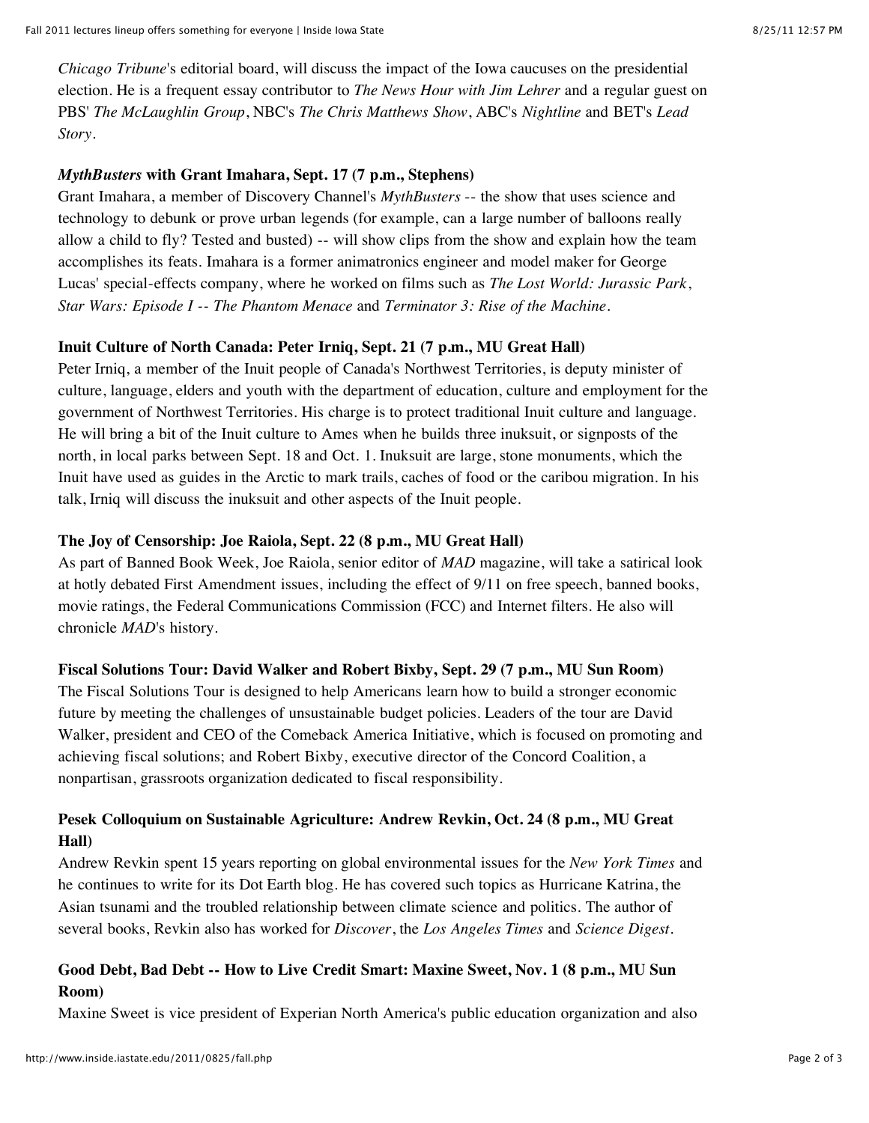*Chicago Tribune*'s editorial board, will discuss the impact of the Iowa caucuses on the presidential election. He is a frequent essay contributor to *The News Hour with Jim Lehrer* and a regular guest on PBS' *The McLaughlin Group*, NBC's *The Chris Matthews Show*, ABC's *Nightline* and BET's *Lead Story*.

## *MythBusters* **with Grant Imahara, Sept. 17 (7 p.m., Stephens)**

Grant Imahara, a member of Discovery Channel's *MythBusters* -- the show that uses science and technology to debunk or prove urban legends (for example, can a large number of balloons really allow a child to fly? Tested and busted) -- will show clips from the show and explain how the team accomplishes its feats. Imahara is a former animatronics engineer and model maker for George Lucas' special-effects company, where he worked on films such as *The Lost World: Jurassic Park*, *Star Wars: Episode I -- The Phantom Menace* and *Terminator 3: Rise of the Machine*.

## **Inuit Culture of North Canada: Peter Irniq, Sept. 21 (7 p.m., MU Great Hall)**

Peter Irniq, a member of the Inuit people of Canada's Northwest Territories, is deputy minister of culture, language, elders and youth with the department of education, culture and employment for the government of Northwest Territories. His charge is to protect traditional Inuit culture and language. He will bring a bit of the Inuit culture to Ames when he builds three inuksuit, or signposts of the north, in local parks between Sept. 18 and Oct. 1. Inuksuit are large, stone monuments, which the Inuit have used as guides in the Arctic to mark trails, caches of food or the caribou migration. In his talk, Irniq will discuss the inuksuit and other aspects of the Inuit people.

## **The Joy of Censorship: Joe Raiola, Sept. 22 (8 p.m., MU Great Hall)**

As part of Banned Book Week, Joe Raiola, senior editor of *MAD* magazine, will take a satirical look at hotly debated First Amendment issues, including the effect of 9/11 on free speech, banned books, movie ratings, the Federal Communications Commission (FCC) and Internet filters. He also will chronicle *MAD*'s history.

#### **Fiscal Solutions Tour: David Walker and Robert Bixby, Sept. 29 (7 p.m., MU Sun Room)**

The Fiscal Solutions Tour is designed to help Americans learn how to build a stronger economic future by meeting the challenges of unsustainable budget policies. Leaders of the tour are David Walker, president and CEO of the Comeback America Initiative, which is focused on promoting and achieving fiscal solutions; and Robert Bixby, executive director of the Concord Coalition, a nonpartisan, grassroots organization dedicated to fiscal responsibility.

# **Pesek Colloquium on Sustainable Agriculture: Andrew Revkin, Oct. 24 (8 p.m., MU Great Hall)**

Andrew Revkin spent 15 years reporting on global environmental issues for the *New York Times* and he continues to write for its Dot Earth blog. He has covered such topics as Hurricane Katrina, the Asian tsunami and the troubled relationship between climate science and politics. The author of several books, Revkin also has worked for *Discover*, the *Los Angeles Times* and *Science Digest*.

# **Good Debt, Bad Debt -- How to Live Credit Smart: Maxine Sweet, Nov. 1 (8 p.m., MU Sun Room)**

Maxine Sweet is vice president of Experian North America's public education organization and also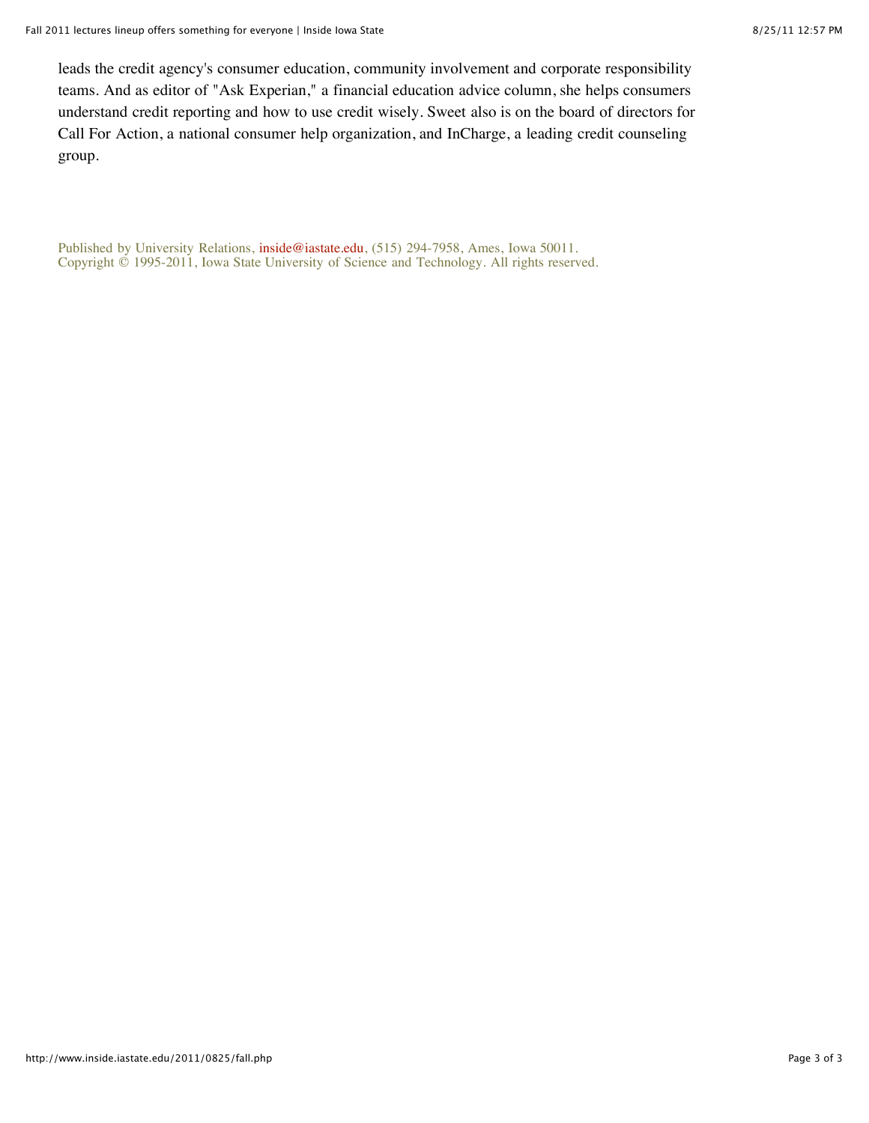leads the credit agency's consumer education, community involvement and corporate responsibility teams. And as editor of "Ask Experian," a financial education advice column, she helps consumers understand credit reporting and how to use credit wisely. Sweet also is on the board of directors for Call For Action, a national consumer help organization, and InCharge, a leading credit counseling group.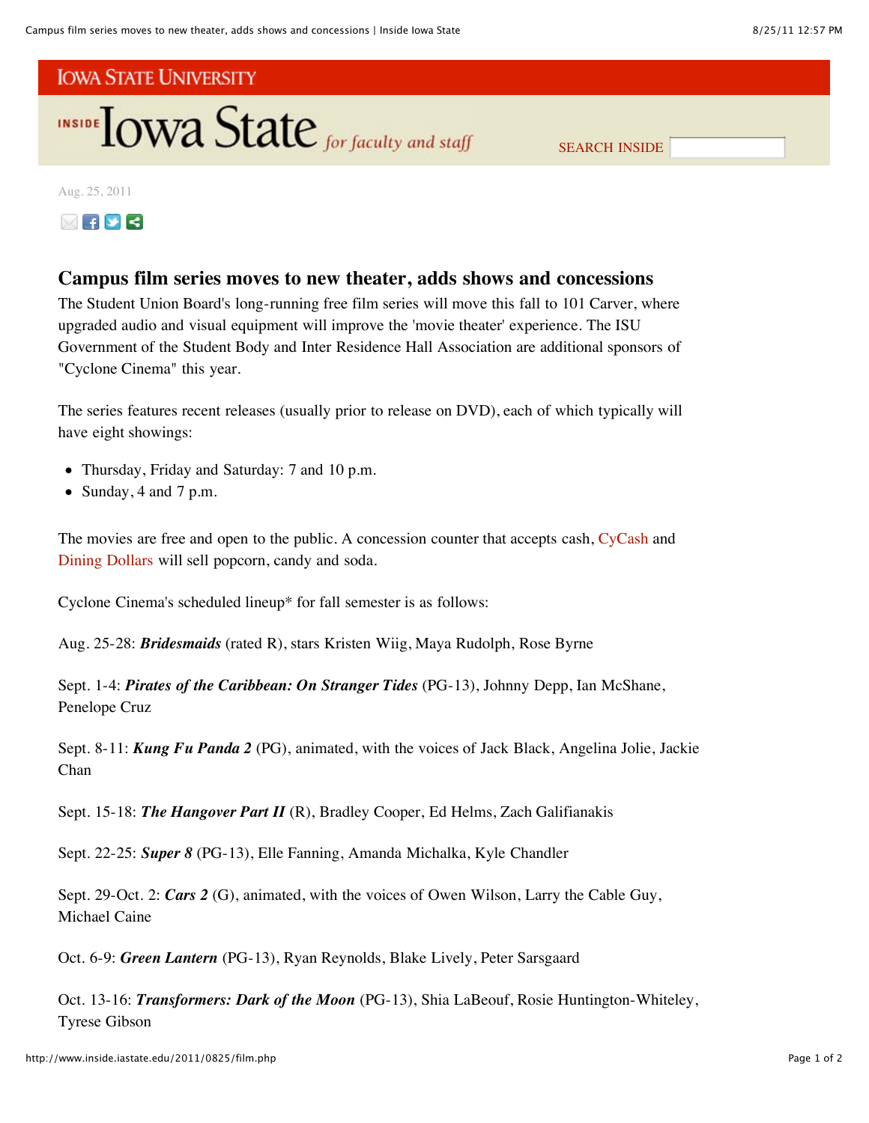

SEARCH INSIDE

Aug. 25, 2011



# **Campus film series moves to new theater, adds shows and concessions**

The Student Union Board's long-running free film series will move this fall to 101 Carver, where upgraded audio and visual equipment will improve the 'movie theater' experience. The ISU Government of the Student Body and Inter Residence Hall Association are additional sponsors of "Cyclone Cinema" this year.

The series features recent releases (usually prior to release on DVD), each of which typically will have eight showings:

- Thursday, Friday and Saturday: 7 and 10 p.m.
- Sunday, 4 and 7 p.m.

The movies are free and open to the public. A concession counter that accepts cash, CyCash and Dining Dollars will sell popcorn, candy and soda.

Cyclone Cinema's scheduled lineup\* for fall semester is as follows:

Aug. 25-28: *Bridesmaids* (rated R), stars Kristen Wiig, Maya Rudolph, Rose Byrne

Sept. 1-4: *Pirates of the Caribbean: On Stranger Tides* (PG-13), Johnny Depp, Ian McShane, Penelope Cruz

Sept. 8-11: *Kung Fu Panda 2* (PG), animated, with the voices of Jack Black, Angelina Jolie, Jackie Chan

Sept. 15-18: *The Hangover Part II* (R), Bradley Cooper, Ed Helms, Zach Galifianakis

Sept. 22-25: *Super 8* (PG-13), Elle Fanning, Amanda Michalka, Kyle Chandler

Sept. 29-Oct. 2: *Cars 2* (G), animated, with the voices of Owen Wilson, Larry the Cable Guy, Michael Caine

Oct. 6-9: *Green Lantern* (PG-13), Ryan Reynolds, Blake Lively, Peter Sarsgaard

Oct. 13-16: *Transformers: Dark of the Moon* (PG-13), Shia LaBeouf, Rosie Huntington-Whiteley, Tyrese Gibson